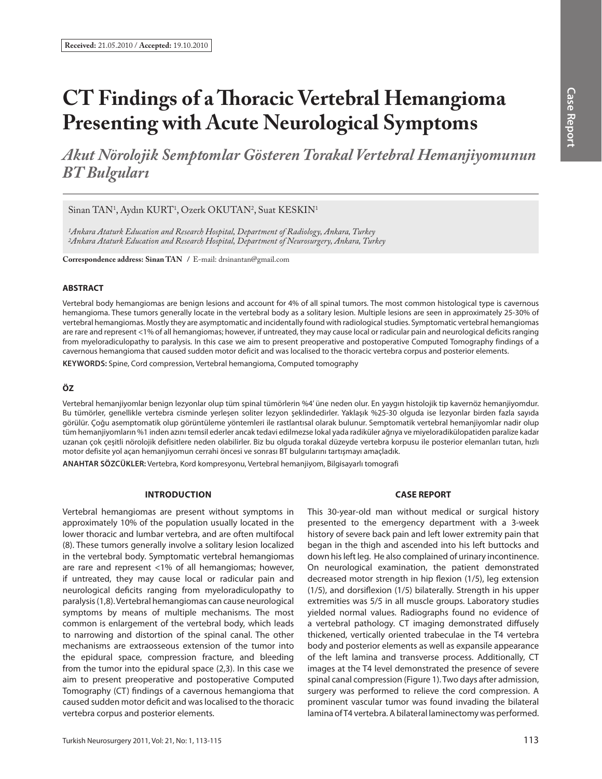# **CT Findings of a Th oracic Vertebral Hemangioma Presenting with Acute Neurological Symptoms**

*Akut Nörolojik Semptomlar Gösteren Torakal Vertebral Hemanjiyomunun BT Bulguları*

Sinan TAN<sup>1</sup>, Aydın KURT<sup>1</sup>, Ozerk OKUTAN<sup>2</sup>, Suat KESKIN<sup>1</sup>

*1Ankara Ataturk Education and Research Hospital, Department of Radiology, Ankara, Turkey 2Ankara Ataturk Education and Research Hospital, Department of Neurosurgery, Ankara, Turkey*

**Correspondence address: Sinan TAN /** E-mail: drsinantan@gmail.com

### **ABSTRACT**

Vertebral body hemangiomas are benign lesions and account for 4% of all spinal tumors. The most common histological type is cavernous hemangioma. These tumors generally locate in the vertebral body as a solitary lesion. Multiple lesions are seen in approximately 25-30% of vertebral hemangiomas. Mostly they are asymptomatic and incidentally found with radiological studies. Symptomatic vertebral hemangiomas are rare and represent <1% of all hemangiomas; however, if untreated, they may cause local or radicular pain and neurological deficits ranging from myeloradiculopathy to paralysis. In this case we aim to present preoperative and postoperative Computed Tomography findings of a cavernous hemangioma that caused sudden motor deficit and was localised to the thoracic vertebra corpus and posterior elements.

**KEYWORDS:** Spine, Cord compression, Vertebral hemangioma, Computed tomography

# **ÖZ**

Vertebral hemanjiyomlar benign lezyonlar olup tüm spinal tümörlerin %4' üne neden olur. En yaygın histolojik tip kavernöz hemanjiyomdur. Bu tümörler, genellikle vertebra cisminde yerleşen soliter lezyon şeklindedirler. Yaklaşık %25-30 olguda ise lezyonlar birden fazla sayıda görülür. Çoğu asemptomatik olup görüntüleme yöntemleri ile rastlantısal olarak bulunur. Semptomatik vertebral hemanjiyomlar nadir olup tüm hemanjiyomların %1 inden azını temsil ederler ancak tedavi edilmezse lokal yada radiküler ağrıya ve miyeloradikülopatiden paralize kadar uzanan çok çeşitli nörolojik defisitlere neden olabilirler. Biz bu olguda torakal düzeyde vertebra korpusu ile posterior elemanları tutan, hızlı motor defisite yol açan hemanjiyomun cerrahi öncesi ve sonrası BT bulgularını tartışmayı amaçladık.

**ANAHTAR SÖZCÜKLER:** Vertebra, Kord kompresyonu, Vertebral hemanjiyom, Bilgisayarlı tomografi

## **INTRODUCTION**

Vertebral hemangiomas are present without symptoms in approximately 10% of the population usually located in the lower thoracic and lumbar vertebra, and are often multifocal (8). These tumors generally involve a solitary lesion localized in the vertebral body. Symptomatic vertebral hemangiomas are rare and represent <1% of all hemangiomas; however, if untreated, they may cause local or radicular pain and neurological deficits ranging from myeloradiculopathy to paralysis (1,8). Vertebral hemangiomas can cause neurological symptoms by means of multiple mechanisms. The most common is enlargement of the vertebral body, which leads to narrowing and distortion of the spinal canal. The other mechanisms are extraosseous extension of the tumor into the epidural space, compression fracture, and bleeding from the tumor into the epidural space (2,3). In this case we aim to present preoperative and postoperative Computed Tomography (CT) findings of a cavernous hemangioma that caused sudden motor deficit and was localised to the thoracic vertebra corpus and posterior elements.

#### **CASE REPORT**

This 30-year-old man without medical or surgical history presented to the emergency department with a 3-week history of severe back pain and left lower extremity pain that began in the thigh and ascended into his left buttocks and down his left leg. He also complained of urinary incontinence. On neurological examination, the patient demonstrated decreased motor strength in hip flexion (1/5), leg extension  $(1/5)$ , and dorsiflexion  $(1/5)$  bilaterally. Strength in his upper extremities was 5/5 in all muscle groups. Laboratory studies yielded normal values. Radiographs found no evidence of a vertebral pathology. CT imaging demonstrated diffusely thickened, vertically oriented trabeculae in the T4 vertebra body and posterior elements as well as expansile appearance of the left lamina and transverse process. Additionally, CT images at the T4 level demonstrated the presence of severe spinal canal compression (Figure 1). Two days after admission, surgery was performed to relieve the cord compression. A prominent vascular tumor was found invading the bilateral lamina of T4 vertebra. A bilateral laminectomy was performed.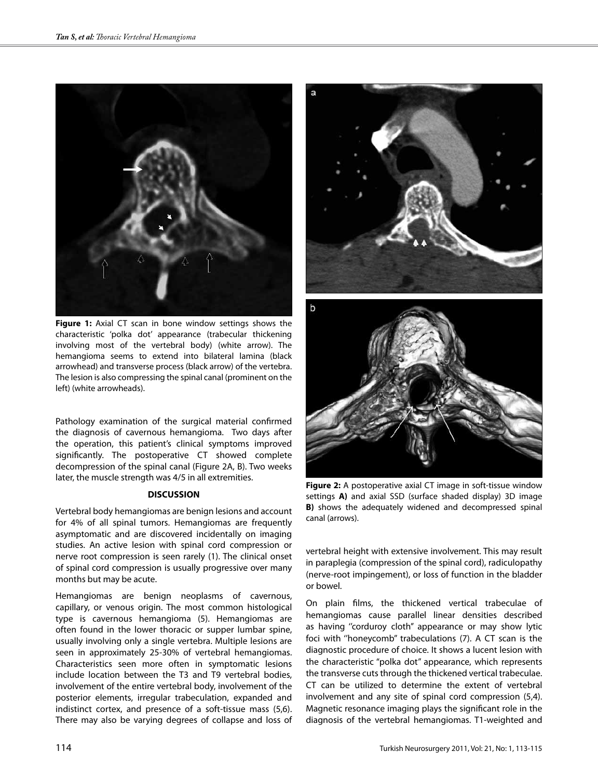

**Figure 1:** Axial CT scan in bone window settings shows the characteristic 'polka dot' appearance (trabecular thickening involving most of the vertebral body) (white arrow). The hemangioma seems to extend into bilateral lamina (black arrowhead) and transverse process (black arrow) of the vertebra. The lesion is also compressing the spinal canal (prominent on the left) (white arrowheads).

Pathology examination of the surgical material confirmed the diagnosis of cavernous hemangioma. Two days after the operation, this patient's clinical symptoms improved significantly. The postoperative CT showed complete decompression of the spinal canal (Figure 2A, B). Two weeks later, the muscle strength was 4/5 in all extremities.

#### **DISCUSSION**

Vertebral body hemangiomas are benign lesions and account for 4% of all spinal tumors. Hemangiomas are frequently asymptomatic and are discovered incidentally on imaging studies. An active lesion with spinal cord compression or nerve root compression is seen rarely (1). The clinical onset of spinal cord compression is usually progressive over many months but may be acute.

Hemangiomas are benign neoplasms of cavernous, capillary, or venous origin. The most common histological type is cavernous hemangioma (5). Hemangiomas are often found in the lower thoracic or supper lumbar spine, usually involving only a single vertebra. Multiple lesions are seen in approximately 25-30% of vertebral hemangiomas. Characteristics seen more often in symptomatic lesions include location between the T3 and T9 vertebral bodies, involvement of the entire vertebral body, involvement of the posterior elements, irregular trabeculation, expanded and indistinct cortex, and presence of a soft-tissue mass (5,6). There may also be varying degrees of collapse and loss of



**Figure 2:** A postoperative axial CT image in soft-tissue window settings **A)** and axial SSD (surface shaded display) 3D image **B)** shows the adequately widened and decompressed spinal canal (arrows).

vertebral height with extensive involvement. This may result in paraplegia (compression of the spinal cord), radiculopathy (nerve-root impingement), or loss of function in the bladder or bowel.

On plain films, the thickened vertical trabeculae of hemangiomas cause parallel linear densities described as having ''corduroy cloth'' appearance or may show lytic foci with ''honeycomb'' trabeculations (7). A CT scan is the diagnostic procedure of choice. It shows a lucent lesion with the characteristic "polka dot" appearance, which represents the transverse cuts through the thickened vertical trabeculae. CT can be utilized to determine the extent of vertebral involvement and any site of spinal cord compression (5,4). Magnetic resonance imaging plays the significant role in the diagnosis of the vertebral hemangiomas. T1-weighted and